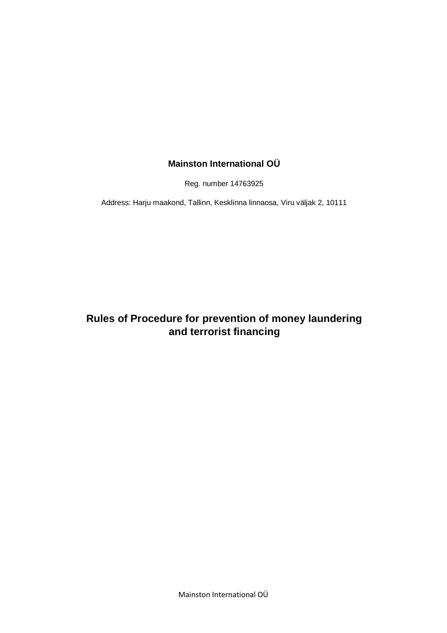## **Mainston International OÜ**

Reg. number 14763925

Address: Harju maakond, Tallinn, Kesklinna linnaosa, Viru väljak 2, 10111

# **Rules of Procedure for prevention of money laundering and terrorist financing**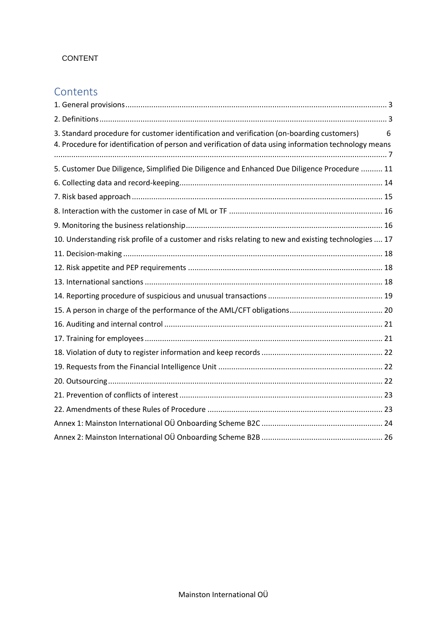### CONTENT

# **Contents**

| 3. Standard procedure for customer identification and verification (on-boarding customers)<br>4. Procedure for identification of person and verification of data using information technology means | 6 |
|-----------------------------------------------------------------------------------------------------------------------------------------------------------------------------------------------------|---|
| 5. Customer Due Diligence, Simplified Die Diligence and Enhanced Due Diligence Procedure  11                                                                                                        |   |
|                                                                                                                                                                                                     |   |
|                                                                                                                                                                                                     |   |
|                                                                                                                                                                                                     |   |
|                                                                                                                                                                                                     |   |
| 10. Understanding risk profile of a customer and risks relating to new and existing technologies  17                                                                                                |   |
|                                                                                                                                                                                                     |   |
|                                                                                                                                                                                                     |   |
|                                                                                                                                                                                                     |   |
|                                                                                                                                                                                                     |   |
|                                                                                                                                                                                                     |   |
|                                                                                                                                                                                                     |   |
|                                                                                                                                                                                                     |   |
|                                                                                                                                                                                                     |   |
|                                                                                                                                                                                                     |   |
|                                                                                                                                                                                                     |   |
|                                                                                                                                                                                                     |   |
|                                                                                                                                                                                                     |   |
|                                                                                                                                                                                                     |   |
|                                                                                                                                                                                                     |   |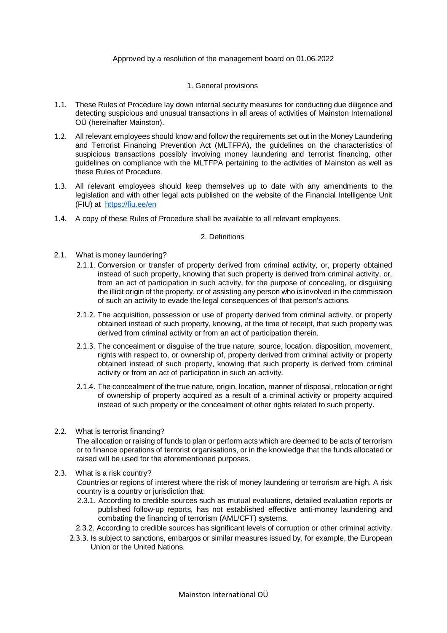#### Approved by a resolution of the management board on 01.06.2022

#### 1. General provisions

- <span id="page-2-0"></span>1.1. These Rules of Procedure lay down internal security measures for conducting due diligence and detecting suspicious and unusual transactions in all areas of activities of Mainston International OÜ (hereinafter Mainston).
- 1.2. All relevant employees should know and follow the requirements set out in the Money Laundering and Terrorist Financing Prevention Act (MLTFPA), the guidelines on the characteristics of suspicious transactions possibly involving money laundering and terrorist financing, other guidelines on compliance with the MLTFPA pertaining to the activities of Mainston as well as these Rules of Procedure.
- 1.3. All relevant employees should keep themselves up to date with any amendments to the legislation and with other legal acts published on the website of the Financial Intelligence Unit (FIU) at<https://fiu.ee/en>
- <span id="page-2-1"></span>1.4. A copy of these Rules of Procedure shall be available to all relevant employees.

#### 2. Definitions

- 2.1. What is money laundering?
	- 2.1.1. Conversion or transfer of property derived from criminal activity, or, property obtained instead of such property, knowing that such property is derived from criminal activity, or, from an act of participation in such activity, for the purpose of concealing, or disguising the illicit origin of the property, or of assisting any person who is involved in the commission of such an activity to evade the legal consequences of that person's actions.
	- 2.1.2. The acquisition, possession or use of property derived from criminal activity, or property obtained instead of such property, knowing, at the time of receipt, that such property was derived from criminal activity or from an act of participation therein.
	- 2.1.3. The concealment or disguise of the true nature, source, location, disposition, movement, rights with respect to, or ownership of, property derived from criminal activity or property obtained instead of such property, knowing that such property is derived from criminal activity or from an act of participation in such an activity.
	- 2.1.4. The concealment of the true nature, origin, location, manner of disposal, relocation or right of ownership of property acquired as a result of a criminal activity or property acquired instead of such property or the concealment of other rights related to such property.

#### 2.2. What is terrorist financing?

The allocation or raising of funds to plan or perform acts which are deemed to be acts of terrorism or to finance operations of terrorist organisations, or in the knowledge that the funds allocated or raised will be used for the aforementioned purposes.

2.3. What is a risk country?

Countries or regions of interest where the risk of money laundering or terrorism are high. A risk country is a country or jurisdiction that:

- 2.3.1. According to credible sources such as mutual evaluations, detailed evaluation reports or published follow-up reports, has not established effective anti-money laundering and combating the financing of terrorism (AML/CFT) systems.
- 2.3.2. According to credible sources has significant levels of corruption or other criminal activity.
- 2.3.3. Is subject to sanctions, embargos or similar measures issued by, for example, the European Union or the United Nations.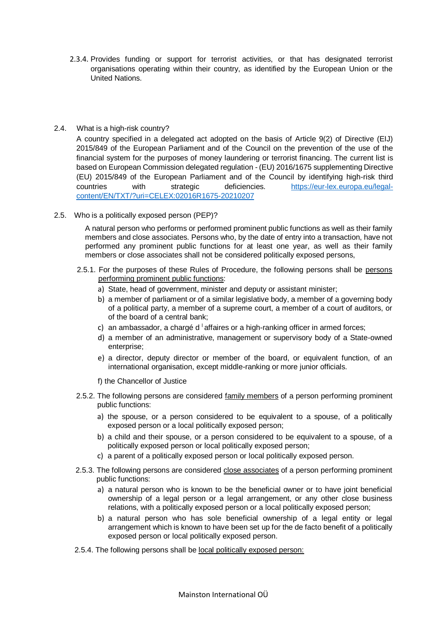2.3.4. Provides funding or support for terrorist activities, or that has designated terrorist organisations operating within their country, as identified by the European Union or the United Nations.

#### 2.4. What is a high-risk country?

A country specified in a delegated act adopted on the basis of Article 9(2) of Directive (EIJ) 2015/849 of the European Parliament and of the Council on the prevention of the use of the financial system for the purposes of money laundering or terrorist financing. The current list is based on European Commission delegated regulation - (EU) 2016/1675 supplementing Directive (EU) 2015/849 of the European Parliament and of the Council by identifying high-risk third countries with strategic deficiencies. [https://eur-lex.europa.eu/legal](https://eur-lex.europa.eu/legal-content/EN/TXT/?uri=CELEX:02016R1675-20210207)[content/EN/TXT/?uri=CELEX:02016R1675-20210207](https://eur-lex.europa.eu/legal-content/EN/TXT/?uri=CELEX:02016R1675-20210207)

2.5. Who is a politically exposed person (PEP)?

A natural person who performs or performed prominent public functions as well as their family members and close associates. Persons who, by the date of entry into a transaction, have not performed any prominent public functions for at least one year, as well as their family members or close associates shall not be considered politically exposed persons,

- 2.5.1. For the purposes of these Rules of Procedure, the following persons shall be persons performing prominent public functions:
	- a) State, head of government, minister and deputy or assistant minister;
	- b) a member of parliament or of a similar legislative body, a member of a governing body of a political party, a member of a supreme court, a member of a court of auditors, or of the board of a central bank;
	- c) an ambassador, a chargé d  $\frac{1}{1}$  affaires or a high-ranking officer in armed forces;
	- d) a member of an administrative, management or supervisory body of a State-owned enterprise;
	- e) a director, deputy director or member of the board, or equivalent function, of an international organisation, except middle-ranking or more junior officials.
	- f) the Chancellor of Justice
- 2.5.2. The following persons are considered family members of a person performing prominent public functions:
	- a) the spouse, or a person considered to be equivalent to a spouse, of a politically exposed person or a local politically exposed person;
	- b) a child and their spouse, or a person considered to be equivalent to a spouse, of a politically exposed person or local politically exposed person;
	- c) a parent of a politically exposed person or local politically exposed person.
- 2.5.3. The following persons are considered close associates of a person performing prominent public functions:
	- a) a natural person who is known to be the beneficial owner or to have joint beneficial ownership of a legal person or a legal arrangement, or any other close business relations, with a politically exposed person or a local politically exposed person;
	- b) a natural person who has sole beneficial ownership of a legal entity or legal arrangement which is known to have been set up for the de facto benefit of a politically exposed person or local politically exposed person.
- 2.5.4. The following persons shall be local politically exposed person: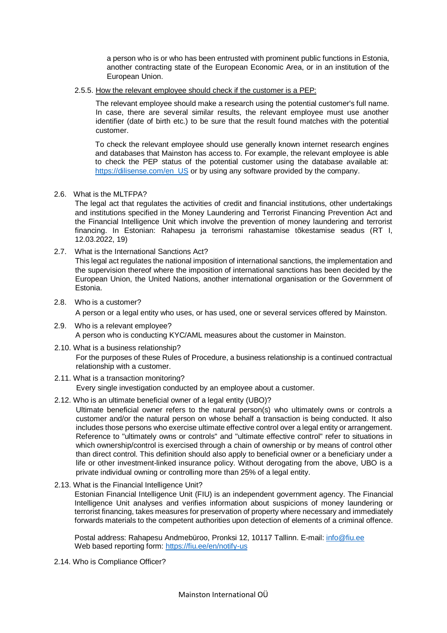a person who is or who has been entrusted with prominent public functions in Estonia, another contracting state of the European Economic Area, or in an institution of the European Union.

2.5.5. How the relevant employee should check if the customer is a PEP:

The relevant employee should make a research using the potential customer's full name. In case, there are several similar results, the relevant employee must use another identifier (date of birth etc.) to be sure that the result found matches with the potential customer.

To check the relevant employee should use generally known internet research engines and databases that Mainston has access to. For example, the relevant employee is able to check the PEP status of the potential customer using the database available at: [https://dilisense.com/en\\_US](https://dilisense.com/en_US) or by using any software provided by the company.

2.6. What is the MLTFPA?

The legal act that regulates the activities of credit and financial institutions, other undertakings and institutions specified in the Money Laundering and Terrorist Financing Prevention Act and the Financial Intelligence Unit which involve the prevention of money laundering and terrorist financing. In Estonian: Rahapesu ja terrorismi rahastamise tõkestamise seadus (RT I, 12.03.2022, 19)

2.7. What is the International Sanctions Act?

This legal act regulates the national imposition of international sanctions, the implementation and the supervision thereof where the imposition of international sanctions has been decided by the European Union, the United Nations, another international organisation or the Government of Estonia.

2.8. Who is a customer?

A person or a legal entity who uses, or has used, one or several services offered by Mainston.

- 2.9. Who is a relevant employee? A person who is conducting KYC/AML measures about the customer in Mainston.
- 2.10. What is a business relationship? For the purposes of these Rules of Procedure, a business relationship is a continued contractual relationship with a customer.
- 2.11. What is a transaction monitoring? Every single investigation conducted by an employee about a customer.
- 2.12. Who is an ultimate beneficial owner of a legal entity (UBO)?

Ultimate beneficial owner refers to the natural person(s) who ultimately owns or controls a customer and/or the natural person on whose behalf a transaction is being conducted. It also includes those persons who exercise ultimate effective control over a legal entity or arrangement. Reference to "ultimately owns or controls" and "ultimate effective control" refer to situations in which ownership/control is exercised through a chain of ownership or by means of control other than direct control. This definition should also apply to beneficial owner or a beneficiary under a life or other investment-linked insurance policy. Without derogating from the above, UBO is a private individual owning or controlling more than 25% of a legal entity.

2.13. What is the Financial Intelligence Unit?

Estonian Financial Intelligence Unit (FIU) is an independent government agency. The Financial Intelligence Unit analyses and verifies information about suspicions of money laundering or terrorist financing, takes measures for preservation of property where necessary and immediately forwards materials to the competent authorities upon detection of elements of a criminal offence.

Postal address: Rahapesu Andmebüroo, Pronksi 12, 10117 Tallinn. E-mail[: info@fiu.ee](mailto:info@fiu.ee) Web based reporting form:<https://fiu.ee/en/notify-us>

2.14. Who is Compliance Officer?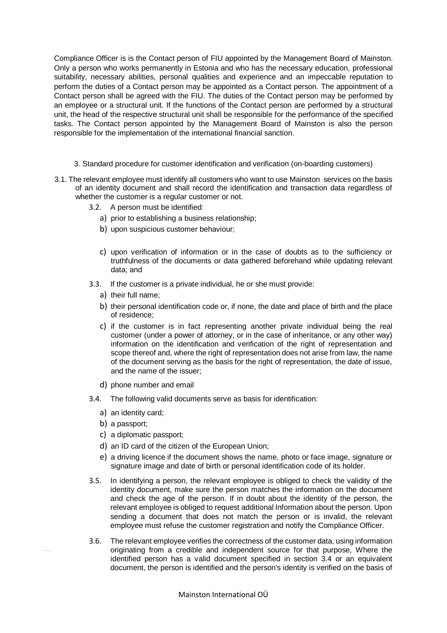Compliance Officer is is the Contact person of FIU appointed by the Management Board of Mainston. Only a person who works permanently in Estonia and who has the necessary education, professional suitability, necessary abilities, personal qualities and experience and an impeccable reputation to perform the duties of a Contact person may be appointed as a Contact person. The appointment of a Contact person shall be agreed with the FIU. The duties of the Contact person may be performed by an employee or a structural unit. If the functions of the Contact person are performed by a structural unit, the head of the respective structural unit shall be responsible for the performance of the specified tasks. The Contact person appointed by the Management Board of Mainston is also the person responsible for the implementation of the international financial sanction.

- 3. Standard procedure for customer identification and verification (on-boarding customers)
- 3.1. The relevant employee must identify all customers who want to use Mainston services on the basis of an identity document and shall record the identification and transaction data regardless of whether the customer is a regular customer or not.
	- 3.2. A person must be identified:
		- a) prior to establishing a business relationship;
		- b) upon suspicious customer behaviour;
		- c) upon verification of information or in the case of doubts as to the sufficiency or truthfulness of the documents or data gathered beforehand while updating relevant data; and
	- 3.3. If the customer is a private individual, he or she must provide:
		- a) their full name;
		- b) their personal identification code or, if none, the date and place of birth and the place of residence;
		- c) if the customer is in fact representing another private individual being the real customer (under a power of attorney, or in the case of inheritance, or any other way) information on the identification and verification of the right of representation and scope thereof and, where the right of representation does not arise from law, the name of the document serving as the basis for the right of representation, the date of issue, and the name of the issuer;
		- d) phone number and email
	- 3.4. The following valid documents serve as basis for identification:
		- a) an identity card;
		- b) a passport;
		- c) a diplomatic passport;
		- d) an ID card of the citizen of the European Union;
		- e) a driving licence if the document shows the name, photo or face image, signature or signature image and date of birth or personal identification code of its holder.
	- 3.5. In identifying a person, the relevant employee is obliged to check the validity of the identity document, make sure the person matches the information on the document and check the age of the person. If in doubt about the identity of the person, the relevant employee is obliged to request additional Information about the person. Upon sending a document that does not match the person or is invalid, the relevant employee must refuse the customer registration and notify the Compliance Officer.
	- 3.6. The relevant employee verifies the correctness of the customer data, using information originating from a credible and independent source for that purpose, Where the identified person has a valid document specified in section 3.4 or an equivalent document, the person is identified and the person's identity is verified on the basis of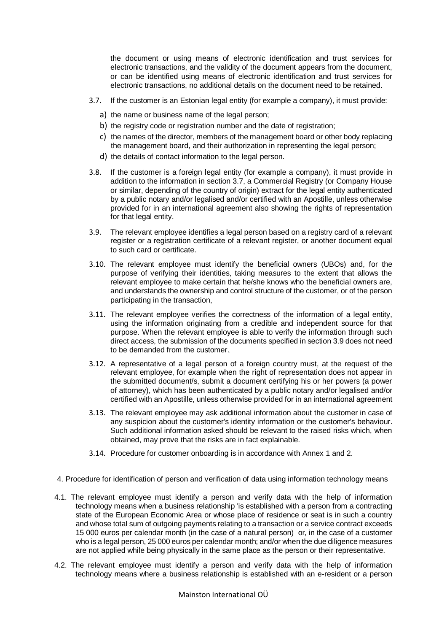the document or using means of electronic identification and trust services for electronic transactions, and the validity of the document appears from the document, or can be identified using means of electronic identification and trust services for electronic transactions, no additional details on the document need to be retained.

- 3.7. If the customer is an Estonian legal entity (for example a company), it must provide:
	- a) the name or business name of the legal person;
	- b) the registry code or registration number and the date of registration;
	- c) the names of the director, members of the management board or other body replacing the management board, and their authorization in representing the legal person;
	- d) the details of contact information to the legal person.
- 3.8. If the customer is a foreign legal entity (for example a company), it must provide in addition to the information in section 3.7, a Commercial Registry (or Company House or similar, depending of the country of origin) extract for the legal entity authenticated by a public notary and/or legalised and/or certified with an Apostille, unless otherwise provided for in an international agreement also showing the rights of representation for that legal entity.
- 3.9. The relevant employee identifies a legal person based on a registry card of a relevant register or a registration certificate of a relevant register, or another document equal to such card or certificate.
- 3.10. The relevant employee must identify the beneficial owners (UBOs) and, for the purpose of verifying their identities, taking measures to the extent that allows the relevant employee to make certain that he/she knows who the beneficial owners are, and understands the ownership and control structure of the customer, or of the person participating in the transaction,
- 3.11. The relevant employee verifies the correctness of the information of a legal entity, using the information originating from a credible and independent source for that purpose. When the relevant employee is able to verify the information through such direct access, the submission of the documents specified in section 3.9 does not need to be demanded from the customer.
- 3.12. A representative of a legal person of a foreign country must, at the request of the relevant employee, for example when the right of representation does not appear in the submitted document/s, submit a document certifying his or her powers (a power of attorney), which has been authenticated by a public notary and/or legalised and/or certified with an Apostille, unless otherwise provided for in an international agreement
- 3.13. The relevant employee may ask additional information about the customer in case of any suspicion about the customer's identity information or the customer's behaviour. Such additional information asked should be relevant to the raised risks which, when obtained, may prove that the risks are in fact explainable.
- 3.14. Procedure for customer onboarding is in accordance with Annex 1 and 2.
- <span id="page-6-0"></span>4. Procedure for identification of person and verification of data using information technology means
- 4.1. The relevant employee must identify a person and verify data with the help of information technology means when a business relationship 'is established with a person from a contracting state of the European Economic Area or whose place of residence or seat is in such a country and whose total sum of outgoing payments relating to a transaction or a service contract exceeds 15 000 euros per calendar month (in the case of a natural person) or, in the case of a customer who is a legal person, 25 000 euros per calendar month; and/or when the due diligence measures are not applied while being physically in the same place as the person or their representative.
- 4.2. The relevant employee must identify a person and verify data with the help of information technology means where a business relationship is established with an e-resident or a person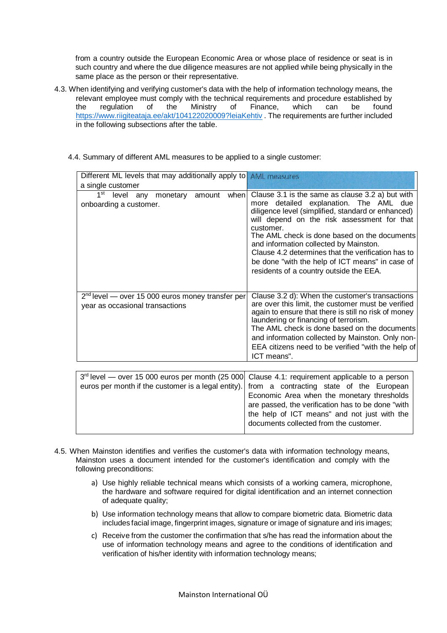from a country outside the European Economic Area or whose place of residence or seat is in such country and where the due diligence measures are not applied while being physically in the same place as the person or their representative.

- 4.3. When identifying and verifying customer's data with the help of information technology means, the relevant employee must comply with the technical requirements and procedure established by the regulation of the Ministry of Finance, which can be found <https://www.riigiteataja.ee/akt/104122020009?leiaKehtiv> . The requirements are further included in the following subsections after the table.
	- 4.4. Summary of different AML measures to be applied to a single customer:

| Different ML levels that may additionally apply to AML measures<br>a single customer    |                                                                                                                                                                                                                                                                                                                                                                                                                                                            |
|-----------------------------------------------------------------------------------------|------------------------------------------------------------------------------------------------------------------------------------------------------------------------------------------------------------------------------------------------------------------------------------------------------------------------------------------------------------------------------------------------------------------------------------------------------------|
| 1 <sup>st</sup><br>level<br>when<br>monetary<br>amount<br>any<br>onboarding a customer. | Clause 3.1 is the same as clause 3.2 a) but with<br>more detailed explanation. The AML due<br>diligence level (simplified, standard or enhanced)<br>will depend on the risk assessment for that<br>customer.<br>The AML check is done based on the documents<br>and information collected by Mainston.<br>Clause 4.2 determines that the verification has to<br>be done "with the help of ICT means" in case of<br>residents of a country outside the EEA. |
| $2nd$ level — over 15 000 euros money transfer per<br>year as occasional transactions   | Clause 3.2 d): When the customer's transactions<br>are over this limit, the customer must be verified<br>again to ensure that there is still no risk of money<br>laundering or financing of terrorism.<br>The AML check is done based on the documents<br>and information collected by Mainston. Only non-<br>EEA citizens need to be verified "with the help of<br>ICT means".                                                                            |

| 3 <sup>rd</sup> level — over 15 000 euros per month (25 000 Clause 4.1: requirement applicable to a person |                                                   |
|------------------------------------------------------------------------------------------------------------|---------------------------------------------------|
| euros per month if the customer is a legal entity). from a contracting state of the European               |                                                   |
|                                                                                                            | Economic Area when the monetary thresholds        |
|                                                                                                            | are passed, the verification has to be done "with |
|                                                                                                            | the help of ICT means" and not just with the      |
|                                                                                                            | documents collected from the customer.            |
|                                                                                                            |                                                   |

- 4.5. When Mainston identifies and verifies the customer's data with information technology means, Mainston uses a document intended for the customer's identification and comply with the following preconditions:
	- a) Use highly reliable technical means which consists of a working camera, microphone, the hardware and software required for digital identification and an internet connection of adequate quality;
	- b) Use information technology means that allow to compare biometric data. Biometric data includes facial image, fingerprint images, signature or image of signature and iris images;
	- c) Receive from the customer the confirmation that s/he has read the information about the use of information technology means and agree to the conditions of identification and verification of his/her identity with information technology means;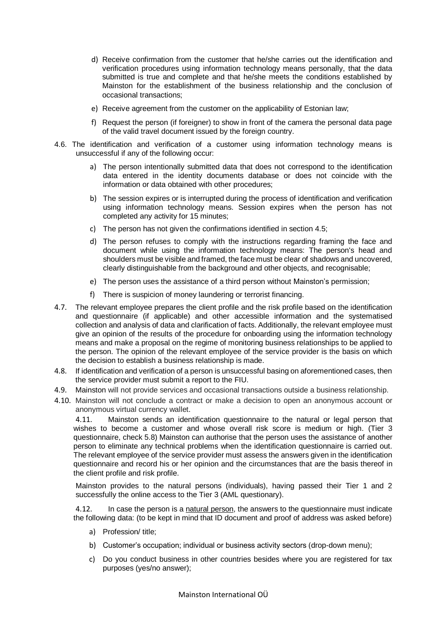- d) Receive confirmation from the customer that he/she carries out the identification and verification procedures using information technology means personally, that the data submitted is true and complete and that he/she meets the conditions established by Mainston for the establishment of the business relationship and the conclusion of occasional transactions;
- e) Receive agreement from the customer on the applicability of Estonian law;
- f) Request the person (if foreigner) to show in front of the camera the personal data page of the valid travel document issued by the foreign country.
- 4.6. The identification and verification of a customer using information technology means is unsuccessful if any of the following occur:
	- a) The person intentionally submitted data that does not correspond to the identification data entered in the identity documents database or does not coincide with the information or data obtained with other procedures;
	- b) The session expires or is interrupted during the process of identification and verification using information technology means. Session expires when the person has not completed any activity for 15 minutes;
	- c) The person has not given the confirmations identified in section 4.5;
	- d) The person refuses to comply with the instructions regarding framing the face and document while using the information technology means: The person's head and shoulders must be visible and framed, the face must be clear of shadows and uncovered, clearly distinguishable from the background and other objects, and recognisable;
	- e) The person uses the assistance of a third person without Mainston's permission;
	- f) There is suspicion of money laundering or terrorist financing.
- 4.7. The relevant employee prepares the client profile and the risk profile based on the identification and questionnaire (if applicable) and other accessible information and the systematised collection and analysis of data and clarification of facts. Additionally, the relevant employee must give an opinion of the results of the procedure for onboarding using the information technology means and make a proposal on the regime of monitoring business relationships to be applied to the person. The opinion of the relevant employee of the service provider is the basis on which the decision to establish a business relationship is made.
- 4.8. If identification and verification of a person is unsuccessful basing on aforementioned cases, then the service provider must submit a report to the FIU.
- 4.9. Mainston will not provide services and occasional transactions outside a business relationship.
- 4.10. Mainston will not conclude a contract or make a decision to open an anonymous account or anonymous virtual currency wallet.

4.11. Mainston sends an identification questionnaire to the natural or legal person that wishes to become a customer and whose overall risk score is medium or high. (Tier 3 questionnaire, check 5.8) Mainston can authorise that the person uses the assistance of another person to eliminate any technical problems when the identification questionnaire is carried out. The relevant employee of the service provider must assess the answers given in the identification questionnaire and record his or her opinion and the circumstances that are the basis thereof in the client profile and risk profile.

Mainston provides to the natural persons (individuals), having passed their Tier 1 and 2 successfully the online access to the Tier 3 (AML questionary).

4.12. In case the person is a natural person, the answers to the questionnaire must indicate the following data: (to be kept in mind that ID document and proof of address was asked before)

- a) Profession/ title;
- b) Customer's occupation; individual or business activity sectors (drop-down menu);
- c) Do you conduct business in other countries besides where you are registered for tax purposes (yes/no answer);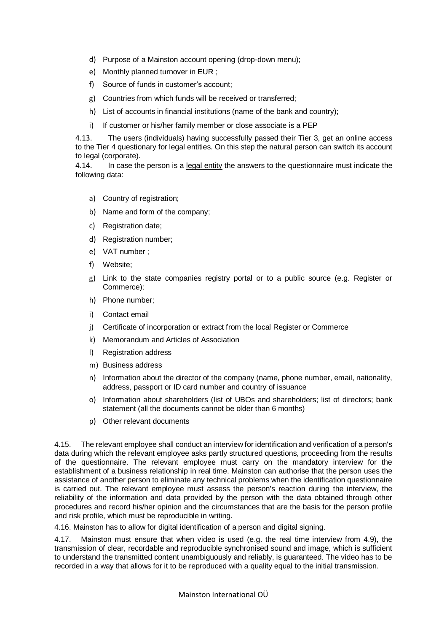- d) Purpose of a Mainston account opening (drop-down menu);
- e) Monthly planned turnover in EUR ;
- f) Source of funds in customer's account;
- g) Countries from which funds will be received or transferred;
- h) List of accounts in financial institutions (name of the bank and country);
- i) If customer or his/her family member or close associate is a PEP

4.13. The users (individuals) having successfully passed their Tier 3, get an online access to the Tier 4 questionary for legal entities. On this step the natural person can switch its account to legal (corporate).

4.14. In case the person is a legal entity the answers to the questionnaire must indicate the following data:

- a) Country of registration;
- b) Name and form of the company;
- c) Registration date;
- d) Registration number;
- e) VAT number ;
- f) Website;
- g) Link to the state companies registry portal or to a public source (e.g. Register or Commerce);
- h) Phone number;
- i) Contact email
- j) Certificate of incorporation or extract from the local Register or Commerce
- k) Memorandum and Articles of Association
- l) Registration address
- m) Business address
- n) Information about the director of the company (name, phone number, email, nationality, address, passport or ID card number and country of issuance
- o) Information about shareholders (list of UBOs and shareholders; list of directors; bank statement (all the documents cannot be older than 6 months)
- p) Other relevant documents

4.15. The relevant employee shall conduct an interview for identification and verification of a person's data during which the relevant employee asks partly structured questions, proceeding from the results of the questionnaire. The relevant employee must carry on the mandatory interview for the establishment of a business relationship in real time. Mainston can authorise that the person uses the assistance of another person to eliminate any technical problems when the identification questionnaire is carried out. The relevant employee must assess the person's reaction during the interview, the reliability of the information and data provided by the person with the data obtained through other procedures and record his/her opinion and the circumstances that are the basis for the person profile and risk profile, which must be reproducible in writing.

4.16. Mainston has to allow for digital identification of a person and digital signing.

4.17. Mainston must ensure that when video is used (e.g. the real time interview from 4.9), the transmission of clear, recordable and reproducible synchronised sound and image, which is sufficient to understand the transmitted content unambiguously and reliably, is guaranteed. The video has to be recorded in a way that allows for it to be reproduced with a quality equal to the initial transmission.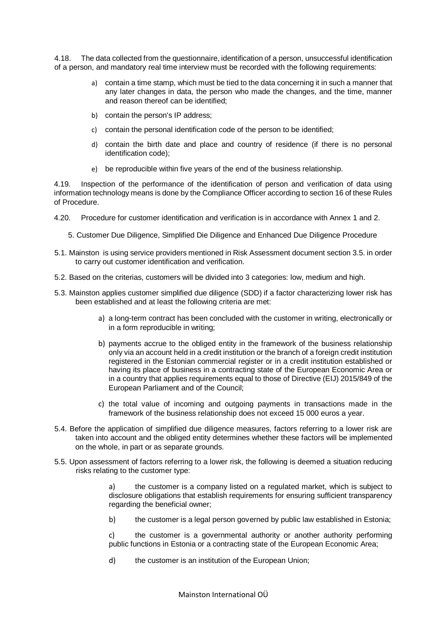4.18. The data collected from the questionnaire, identification of a person, unsuccessful identification of a person, and mandatory real time interview must be recorded with the following requirements:

- a) contain a time stamp, which must be tied to the data concerning it in such a manner that any later changes in data, the person who made the changes, and the time, manner and reason thereof can be identified;
- b) contain the person's IP address;
- c) contain the personal identification code of the person to be identified;
- d) contain the birth date and place and country of residence (if there is no personal identification code);
- e) be reproducible within five years of the end of the business relationship.

4.19. Inspection of the performance of the identification of person and verification of data using information technology means is done by the Compliance Officer according to section 16 of these Rules of Procedure.

- <span id="page-10-0"></span>4.20. Procedure for customer identification and verification is in accordance with Annex 1 and 2.
	- 5. Customer Due Diligence, Simplified Die Diligence and Enhanced Due Diligence Procedure
- 5.1. Mainston is using service providers mentioned in Risk Assessment document section 3.5. in order to carry out customer identification and verification.
- 5.2. Based on the criterias, customers will be divided into 3 categories: low, medium and high.
- 5.3. Mainston applies customer simplified due diligence (SDD) if a factor characterizing lower risk has been established and at least the following criteria are met:
	- a) a long-term contract has been concluded with the customer in writing, electronically or in a form reproducible in writing;
	- b) payments accrue to the obliged entity in the framework of the business relationship only via an account held in a credit institution or the branch of a foreign credit institution registered in the Estonian commercial register or in a credit institution established or having its place of business in a contracting state of the European Economic Area or in a country that applies requirements equal to those of Directive (EIJ) 2015/849 of the European Parliament and of the Council;
	- c) the total value of incoming and outgoing payments in transactions made in the framework of the business relationship does not exceed 15 000 euros a year.
- 5.4. Before the application of simplified due diligence measures, factors referring to a lower risk are taken into account and the obliged entity determines whether these factors will be implemented on the whole, in part or as separate grounds.
- 5.5. Upon assessment of factors referring to a lower risk, the following is deemed a situation reducing risks relating to the customer type:

a) the customer is a company listed on a regulated market, which is subject to disclosure obligations that establish requirements for ensuring sufficient transparency regarding the beneficial owner;

b) the customer is a legal person governed by public law established in Estonia;

c) the customer is a governmental authority or another authority performing public functions in Estonia or a contracting state of the European Economic Area;

d) the customer is an institution of the European Union;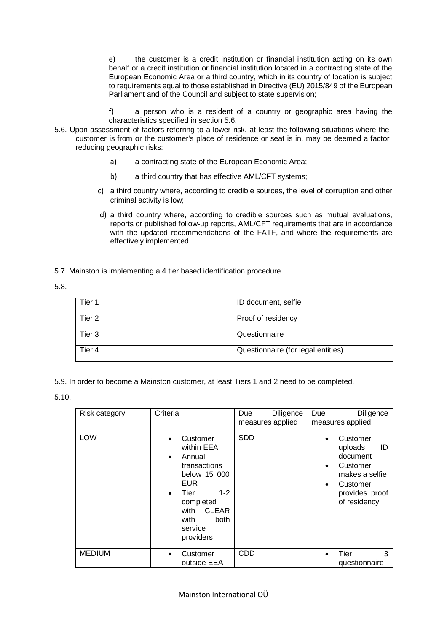e) the customer is a credit institution or financial institution acting on its own behalf or a credit institution or financial institution located in a contracting state of the European Economic Area or a third country, which in its country of location is subject to requirements equal to those established in Directive (EU) 2015/849 of the European Parliament and of the Council and subject to state supervision;

f) a person who is a resident of a country or geographic area having the characteristics specified in section 5.6.

- 5.6. Upon assessment of factors referring to a lower risk, at least the following situations where the customer is from or the customer's place of residence or seat is in, may be deemed a factor reducing geographic risks:
	- a) a contracting state of the European Economic Area;
	- b) a third country that has effective AML/CFT systems;
	- c) a third country where, according to credible sources, the level of corruption and other criminal activity is low;
	- d) a third country where, according to credible sources such as mutual evaluations, reports or published follow-up reports, AML/CFT requirements that are in accordance with the updated recommendations of the FATF, and where the requirements are effectively implemented.
- 5.7. Mainston is implementing a 4 tier based identification procedure.

5.8.

| Tier 1 | ID document, selfie                |
|--------|------------------------------------|
| Tier 2 | Proof of residency                 |
| Tier 3 | Questionnaire                      |
| Tier 4 | Questionnaire (for legal entities) |

5.9. In order to become a Mainston customer, at least Tiers 1 and 2 need to be completed.

5.10.

| Risk category | Criteria                                                                                                                                                                                                        | Diligence<br>Due<br>measures applied | Diligence<br><b>Due</b><br>measures applied                                                                                                 |
|---------------|-----------------------------------------------------------------------------------------------------------------------------------------------------------------------------------------------------------------|--------------------------------------|---------------------------------------------------------------------------------------------------------------------------------------------|
| <b>LOW</b>    | Customer<br>within EEA<br>Annual<br>$\bullet$<br>transactions<br>below 15 000<br><b>EUR</b><br>Tier<br>$1 - 2$<br>$\bullet$<br>completed<br><b>CLEAR</b><br>with<br>with<br><b>both</b><br>service<br>providers | <b>SDD</b>                           | Customer<br>uploads<br>ID<br>document<br>Customer<br>$\bullet$<br>makes a selfie<br>Customer<br>$\bullet$<br>provides proof<br>of residency |
| <b>MEDIUM</b> | Customer<br>outside EEA                                                                                                                                                                                         | <b>CDD</b>                           | 3<br>Tier<br>questionnaire                                                                                                                  |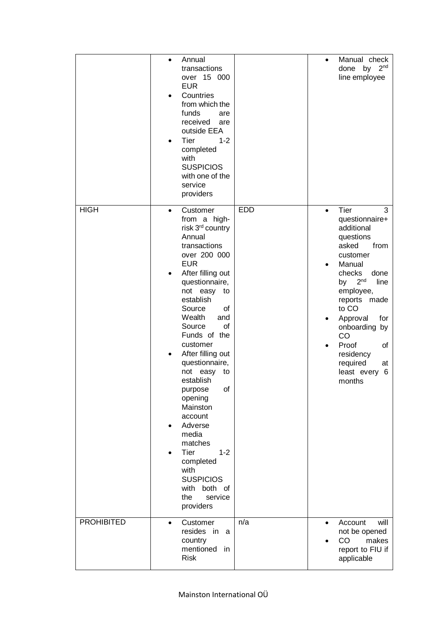|                   | Annual<br>$\bullet$<br>transactions<br>over 15 000<br><b>EUR</b><br>Countries<br>from which the<br>funds<br>are<br>received<br>are<br>outside EEA<br>Tier<br>$1 - 2$<br>completed<br>with<br><b>SUSPICIOS</b><br>with one of the<br>service<br>providers                                                                                                                                                                                                                                                                                                                     |            | Manual check<br>$\bullet$<br>2 <sub>nd</sub><br>done<br>by<br>line employee                                                                                                                                                                                                                                                           |
|-------------------|------------------------------------------------------------------------------------------------------------------------------------------------------------------------------------------------------------------------------------------------------------------------------------------------------------------------------------------------------------------------------------------------------------------------------------------------------------------------------------------------------------------------------------------------------------------------------|------------|---------------------------------------------------------------------------------------------------------------------------------------------------------------------------------------------------------------------------------------------------------------------------------------------------------------------------------------|
| <b>HIGH</b>       | Customer<br>$\bullet$<br>from a high-<br>risk 3 <sup>rd</sup> country<br>Annual<br>transactions<br>over 200 000<br><b>EUR</b><br>After filling out<br>٠<br>questionnaire,<br>not easy<br>to<br>establish<br>Source<br>οf<br>Wealth<br>and<br>Source<br>of<br>Funds of the<br>customer<br>After filling out<br>$\bullet$<br>questionnaire,<br>not easy<br>to<br>establish<br>Ωf<br>purpose<br>opening<br>Mainston<br>account<br>Adverse<br>media<br>matches<br><b>Tier</b><br>$1 - 2$<br>completed<br>with<br><b>SUSPICIOS</b><br>with both of<br>the<br>service<br>providers | <b>EDD</b> | Tier<br>3<br>$\bullet$<br>questionnaire+<br>additional<br>questions<br>asked<br>from<br>customer<br>Manual<br>٠<br>checks<br>done<br>2 <sup>nd</sup><br>by<br>line<br>employee,<br>reports made<br>to CO<br>Approval<br>for<br>٠<br>onboarding by<br>CO<br>Proof<br>οf<br>٠<br>residency<br>required<br>at<br>least every 6<br>months |
| <b>PROHIBITED</b> | Customer<br>$\bullet$<br>resides in<br>a<br>country<br>mentioned in<br><b>Risk</b>                                                                                                                                                                                                                                                                                                                                                                                                                                                                                           | n/a        | will<br>Account<br>$\bullet$<br>not be opened<br>CO<br>makes<br>report to FIU if<br>applicable                                                                                                                                                                                                                                        |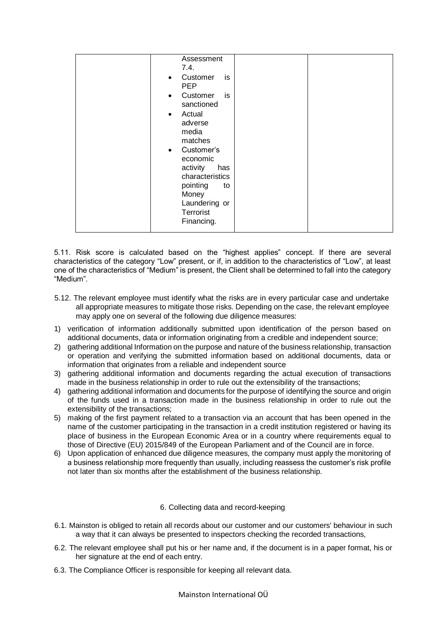| Assessment<br>7.4.<br>Customer<br>is<br>$\bullet$<br><b>PEP</b><br>Customer<br>is<br>$\bullet$<br>sanctioned<br>Actual<br>$\bullet$<br>adverse<br>media<br>matches<br>Customer's<br>$\bullet$<br>economic<br>activity<br>has<br>characteristics<br>pointing<br>to<br>Money<br>Laundering or<br>Terrorist<br>Financing. |  |
|------------------------------------------------------------------------------------------------------------------------------------------------------------------------------------------------------------------------------------------------------------------------------------------------------------------------|--|
|------------------------------------------------------------------------------------------------------------------------------------------------------------------------------------------------------------------------------------------------------------------------------------------------------------------------|--|

5.11. Risk score is calculated based on the "highest applies" concept. If there are several characteristics of the category "Low" present, or if, in addition to the characteristics of "Low", at least one of the characteristics of "Medium" is present, the Client shall be determined to fall into the category "Medium".

- 5.12. The relevant employee must identify what the risks are in every particular case and undertake all appropriate measures to mitigate those risks. Depending on the case, the relevant employee may apply one on several of the following due diligence measures:
- 1) verification of information additionally submitted upon identification of the person based on additional documents, data or information originating from a credible and independent source;
- 2) gathering additional Information on the purpose and nature of the business relationship, transaction or operation and verifying the submitted information based on additional documents, data or information that originates from a reliable and independent source
- 3) gathering additional information and documents regarding the actual execution of transactions made in the business relationship in order to rule out the extensibility of the transactions;
- 4) gathering additional information and documents for the purpose of identifying the source and origin of the funds used in a transaction made in the business relationship in order to rule out the extensibility of the transactions;
- 5) making of the first payment related to a transaction via an account that has been opened in the name of the customer participating in the transaction in a credit institution registered or having its place of business in the European Economic Area or in a country where requirements equal to those of Directive (EU) 2015/849 of the European Parliament and of the Council are in force.
- 6) Upon application of enhanced due diligence measures, the company must apply the monitoring of a business relationship more frequently than usually, including reassess the customer's risk profile not later than six months after the establishment of the business relationship.

#### 6. Collecting data and record-keeping

- <span id="page-13-0"></span>6.1. Mainston is obliged to retain all records about our customer and our customers' behaviour in such a way that it can always be presented to inspectors checking the recorded transactions,
- 6.2. The relevant employee shall put his or her name and, if the document is in a paper format, his or her signature at the end of each entry.
- 6.3. The Compliance Officer is responsible for keeping all relevant data.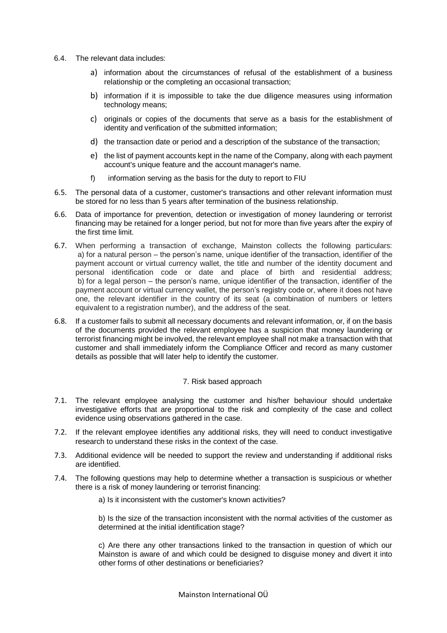- 6.4. The relevant data includes:
	- a) information about the circumstances of refusal of the establishment of a business relationship or the completing an occasional transaction;
	- b) information if it is impossible to take the due diligence measures using information technology means;
	- c) originals or copies of the documents that serve as a basis for the establishment of identity and verification of the submitted information;
	- d) the transaction date or period and a description of the substance of the transaction;
	- e) the list of payment accounts kept in the name of the Company, along with each payment account's unique feature and the account manager's name.
	- f) information serving as the basis for the duty to report to FIU
- 6.5. The personal data of a customer, customer's transactions and other relevant information must be stored for no less than 5 years after termination of the business relationship.
- 6.6. Data of importance for prevention, detection or investigation of money laundering or terrorist financing may be retained for a longer period, but not for more than five years after the expiry of the first time limit.
- 6.7. When performing a transaction of exchange, Mainston collects the following particulars: a) for a natural person – the person's name, unique identifier of the transaction, identifier of the payment account or virtual currency wallet, the title and number of the identity document and personal identification code or date and place of birth and residential address; b) for a legal person – the person's name, unique identifier of the transaction, identifier of the payment account or virtual currency wallet, the person's registry code or, where it does not have one, the relevant identifier in the country of its seat (a combination of numbers or letters equivalent to a registration number), and the address of the seat.
- 6.8. If a customer fails to submit all necessary documents and relevant information, or, if on the basis of the documents provided the relevant employee has a suspicion that money laundering or terrorist financing might be involved, the relevant employee shall not make a transaction with that customer and shall immediately inform the Compliance Officer and record as many customer details as possible that will later help to identify the customer.

#### 7. Risk based approach

- <span id="page-14-0"></span>7.1. The relevant employee analysing the customer and his/her behaviour should undertake investigative efforts that are proportional to the risk and complexity of the case and collect evidence using observations gathered in the case.
- 7.2. If the relevant employee identifies any additional risks, they will need to conduct investigative research to understand these risks in the context of the case.
- 7.3. Additional evidence will be needed to support the review and understanding if additional risks are identified.
- 7.4. The following questions may help to determine whether a transaction is suspicious or whether there is a risk of money laundering or terrorist financing:
	- a) Is it inconsistent with the customer's known activities?

b) Is the size of the transaction inconsistent with the normal activities of the customer as determined at the initial identification stage?

c) Are there any other transactions linked to the transaction in question of which our Mainston is aware of and which could be designed to disguise money and divert it into other forms of other destinations or beneficiaries?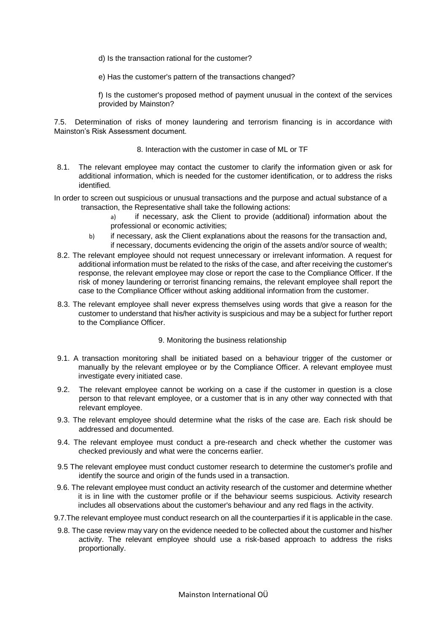- d) Is the transaction rational for the customer?
- e) Has the customer's pattern of the transactions changed?

f) Is the customer's proposed method of payment unusual in the context of the services provided by Mainston?

7.5. Determination of risks of money laundering and terrorism financing is in accordance with Mainston's Risk Assessment document.

- 8. Interaction with the customer in case of ML or TF
- <span id="page-15-0"></span>8.1. The relevant employee may contact the customer to clarify the information given or ask for additional information, which is needed for the customer identification, or to address the risks identified.
- In order to screen out suspicious or unusual transactions and the purpose and actual substance of a transaction, the Representative shall take the following actions:
	- a) if necessary, ask the Client to provide (additional) information about the professional or economic activities;
	- b) if necessary, ask the Client explanations about the reasons for the transaction and, if necessary, documents evidencing the origin of the assets and/or source of wealth;
- 8.2. The relevant employee should not request unnecessary or irrelevant information. A request for additional information must be related to the risks of the case, and after receiving the customer's response, the relevant employee may close or report the case to the Compliance Officer. If the risk of money laundering or terrorist financing remains, the relevant employee shall report the case to the Compliance Officer without asking additional information from the customer.
- 8.3. The relevant employee shall never express themselves using words that give a reason for the customer to understand that his/her activity is suspicious and may be a subject for further report to the Compliance Officer.
	- 9. Monitoring the business relationship
- <span id="page-15-1"></span>9.1. A transaction monitoring shall be initiated based on a behaviour trigger of the customer or manually by the relevant employee or by the Compliance Officer. A relevant employee must investigate every initiated case.
- 9.2. The relevant employee cannot be working on a case if the customer in question is a close person to that relevant employee, or a customer that is in any other way connected with that relevant employee.
- 9.3. The relevant employee should determine what the risks of the case are. Each risk should be addressed and documented.
- 9.4. The relevant employee must conduct a pre-research and check whether the customer was checked previously and what were the concerns earlier.
- 9.5 The relevant employee must conduct customer research to determine the customer's profile and identify the source and origin of the funds used in a transaction.
- 9.6. The relevant employee must conduct an activity research of the customer and determine whether it is in line with the customer profile or if the behaviour seems suspicious. Activity research includes all observations about the customer's behaviour and any red flags in the activity.
- 9.7.The relevant employee must conduct research on all the counterparties if it is applicable in the case.
- 9.8. The case review may vary on the evidence needed to be collected about the customer and his/her activity. The relevant employee should use a risk-based approach to address the risks proportionally.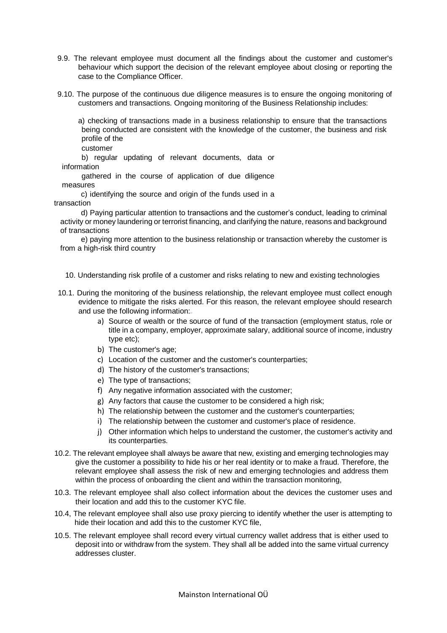- 9.9. The relevant employee must document all the findings about the customer and customer's behaviour which support the decision of the relevant employee about closing or reporting the case to the Compliance Officer.
- 9.10. The purpose of the continuous due diligence measures is to ensure the ongoing monitoring of customers and transactions. Ongoing monitoring of the Business Relationship includes:

a) checking of transactions made in a business relationship to ensure that the transactions being conducted are consistent with the knowledge of the customer, the business and risk profile of the

customer

b) regular updating of relevant documents, data or information

gathered in the course of application of due diligence measures

c) identifying the source and origin of the funds used in a transaction

d) Paying particular attention to transactions and the customer's conduct, leading to criminal activity or money laundering or terrorist financing, and clarifying the nature, reasons and background of transactions

e) paying more attention to the business relationship or transaction whereby the customer is from a high-risk third country

- <span id="page-16-0"></span>10. Understanding risk profile of a customer and risks relating to new and existing technologies
- 10.1. During the monitoring of the business relationship, the relevant employee must collect enough evidence to mitigate the risks alerted. For this reason, the relevant employee should research and use the following information:
	- a) Source of wealth or the source of fund of the transaction (employment status, role or title in a company, employer, approximate salary, additional source of income, industry type etc);
	- b) The customer's age;
	- c) Location of the customer and the customer's counterparties;
	- d) The history of the customer's transactions;
	- e) The type of transactions;
	- f) Any negative information associated with the customer;
	- g) Any factors that cause the customer to be considered a high risk;
	- h) The relationship between the customer and the customer's counterparties;
	- i) The relationship between the customer and customer's place of residence.
	- j) Other information which helps to understand the customer, the customer's activity and its counterparties.
- 10.2. The relevant employee shall always be aware that new, existing and emerging technologies may give the customer a possibility to hide his or her real identity or to make a fraud. Therefore, the relevant employee shall assess the risk of new and emerging technologies and address them within the process of onboarding the client and within the transaction monitoring,
- 10.3. The relevant employee shall also collect information about the devices the customer uses and their location and add this to the customer KYC file.
- 10.4, The relevant employee shall also use proxy piercing to identify whether the user is attempting to hide their location and add this to the customer KYC file,
- 10.5. The relevant employee shall record every virtual currency wallet address that is either used to deposit into or withdraw from the system. They shall all be added into the same virtual currency addresses cluster.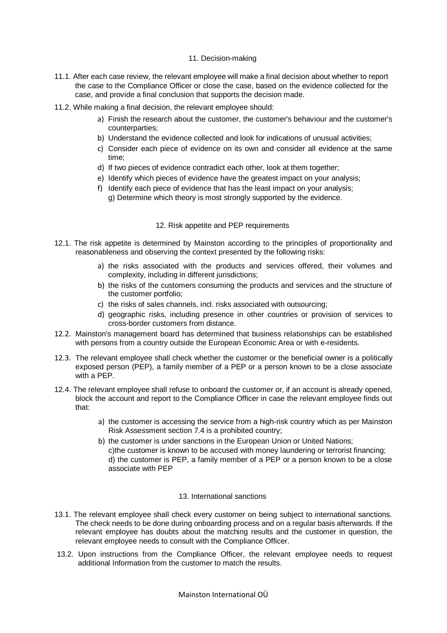#### 11. Decision-making

- <span id="page-17-0"></span>11.1. After each case review, the relevant employee will make a final decision about whether to report the case to the Compliance Officer or close the case, based on the evidence collected for the case, and provide a final conclusion that supports the decision made.
- 11.2. While making a final decision, the relevant employee should:
	- a) Finish the research about the customer, the customer's behaviour and the customer's counterparties;
	- b) Understand the evidence collected and look for indications of unusual activities;
	- c) Consider each piece of evidence on its own and consider all evidence at the same time;
	- d) If two pieces of evidence contradict each other, look at them together;
	- e) Identify which pieces of evidence have the greatest impact on your analysis;
	- f) Identify each piece of evidence that has the least impact on your analysis; g) Determine which theory is most strongly supported by the evidence.

#### 12. Risk appetite and PEP requirements

- <span id="page-17-1"></span>12.1. The risk appetite is determined by Mainston according to the principles of proportionality and reasonableness and observing the context presented by the following risks:
	- a) the risks associated with the products and services offered, their volumes and complexity, including in different jurisdictions;
	- b) the risks of the customers consuming the products and services and the structure of the customer portfolio;
	- c) the risks of sales channels, incl. risks associated with outsourcing;
	- d) geographic risks, including presence in other countries or provision of services to cross-border customers from distance.
- 12.2. Mainston's management board has determined that business relationships can be established with persons from a country outside the European Economic Area or with e-residents.
- 12.3. The relevant employee shall check whether the customer or the beneficial owner is a politically exposed person (PEP), a family member of a PEP or a person known to be a close associate with a PEP.
- 12.4. The relevant employee shall refuse to onboard the customer or, if an account is already opened, block the account and report to the Compliance Officer in case the relevant employee finds out that:
	- a) the customer is accessing the service from a high-risk country which as per Mainston Risk Assessment section 7.4 is a prohibited country;
	- b) the customer is under sanctions in the European Union or United Nations; c)the customer is known to be accused with money laundering or terrorist financing; d) the customer is PEP, a family member of a PEP or a person known to be a close associate with PEP

#### 13. International sanctions

- <span id="page-17-2"></span>13.1. The relevant employee shall check every customer on being subject to international sanctions. The check needs to be done during onboarding process and on a regular basis afterwards. If the relevant employee has doubts about the matching results and the customer in question, the relevant employee needs to consult with the Compliance Officer.
- 13.2. Upon instructions from the Compliance Officer, the relevant employee needs to request additional Information from the customer to match the results.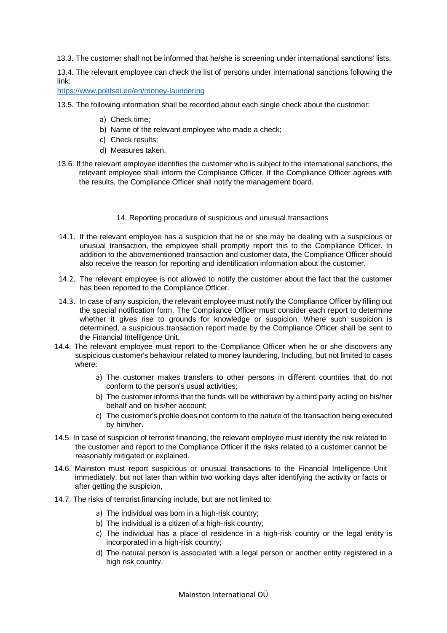13.3. The customer shall not be informed that he/she is screening under international sanctions' lists.

13.4. The relevant employee can check the list of persons under international sanctions following the link:

<https://www.politsei.ee/en/money-laundering>

- 13.5. The following information shall be recorded about each single check about the customer:
	- a) Check time;
	- b) Name of the relevant employee who made a check;
	- c) Check results;
	- d) Measures taken,
- 13.6. If the relevant employee identifies the customer who is subject to the international sanctions, the relevant employee shall inform the Compliance Officer. If the Compliance Officer agrees with the results, the Compliance Officer shall notify the management board.
	- 14. Reporting procedure of suspicious and unusual transactions
- <span id="page-18-0"></span>14.1. If the relevant employee has a suspicion that he or she may be dealing with a suspicious or unusual transaction, the employee shall promptly report this to the Compliance Officer. In addition to the abovementioned transaction and customer data, the Compliance Officer should also receive the reason for reporting and identification information about the customer.
- 14.2. The relevant employee is not allowed to notify the customer about the fact that the customer has been reported to the Compliance Officer.
- 14.3. In case of any suspicion, the relevant employee must notify the Compliance Officer by filling out the special notification form. The Compliance Officer must consider each report to determine whether it gives rise to grounds for knowledge or suspicion. Where such suspicion is determined, a suspicious transaction report made by the Compliance Officer shall be sent to the Financial Intelligence Unit.
- 14.4. The relevant employee must report to the Compliance Officer when he or she discovers any suspicious customer's behaviour related to money laundering, Including, but not limited to cases where:
	- a) The customer makes transfers to other persons in different countries that do not conform to the person's usual activities;
	- b) The customer informs that the funds will be withdrawn by a third party acting on his/her behalf and on his/her account;
	- c) The customer's profile does not conform to the nature of the transaction being executed by him/her.
- 14.5. In case of suspicion of terrorist financing, the relevant employee must identify the risk related to the customer and report to the Compliance Officer if the risks related to a customer cannot be reasonably mitigated or explained.
- 14.6. Mainston must report suspicious or unusual transactions to the Financial Intelligence Unit immediately, but not later than within two working days after identifying the activity or facts or after getting the suspicion,
- 14.7. The risks of terrorist financing include, but are not limited to:
	- a) The individual was born in a high-risk country;
	- b) The individual is a citizen of a high-risk country;
	- c) The individual has a place of residence in a high-risk country or the legal entity is incorporated in a high-risk country;
	- d) The natural person is associated with a legal person or another entity registered in a high risk country.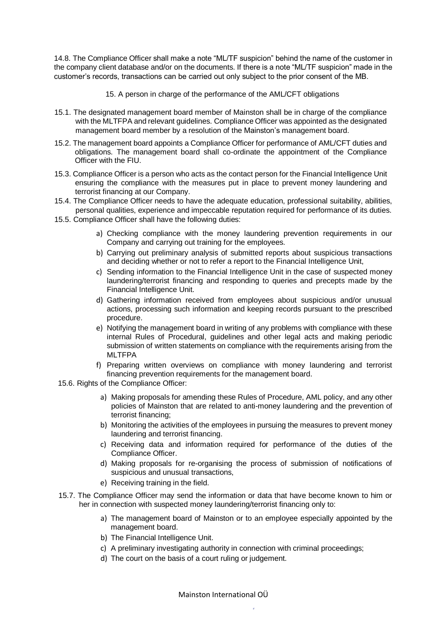14.8. The Compliance Officer shall make a note "ML/TF suspicion" behind the name of the customer in the company client database and/or on the documents. If there is a note "ML/TF suspicion" made in the customer's records, transactions can be carried out only subject to the prior consent of the MB.

- <span id="page-19-0"></span>15. A person in charge of the performance of the AML/CFT obligations
- 15.1. The designated management board member of Mainston shall be in charge of the compliance with the MLTFPA and relevant guidelines. Compliance Officer was appointed as the designated management board member by a resolution of the Mainston's management board.
- 15.2. The management board appoints a Compliance Officer for performance of AML/CFT duties and obligations. The management board shall co-ordinate the appointment of the Compliance Officer with the FIU.
- 15.3. Compliance Officer is a person who acts as the contact person for the Financial Intelligence Unit ensuring the compliance with the measures put in place to prevent money laundering and terrorist financing at our Company.
- 15.4. The Compliance Officer needs to have the adequate education, professional suitability, abilities, personal qualities, experience and impeccable reputation required for performance of its duties.
- 15.5. Compliance Officer shall have the following duties:
	- a) Checking compliance with the money laundering prevention requirements in our Company and carrying out training for the employees.
	- b) Carrying out preliminary analysis of submitted reports about suspicious transactions and deciding whether or not to refer a report to the Financial Intelligence Unit,
	- c) Sending information to the Financial Intelligence Unit in the case of suspected money laundering/terrorist financing and responding to queries and precepts made by the Financial Intelligence Unit.
	- d) Gathering information received from employees about suspicious and/or unusual actions, processing such information and keeping records pursuant to the prescribed procedure.
	- e) Notifying the management board in writing of any problems with compliance with these internal Rules of Procedural, guidelines and other legal acts and making periodic submission of written statements on compliance with the requirements arising from the MLTFPA
	- f) Preparing written overviews on compliance with money laundering and terrorist financing prevention requirements for the management board.
- 15.6. Rights of the Compliance Officer:
	- a) Making proposals for amending these Rules of Procedure, AML policy, and any other policies of Mainston that are related to anti-money laundering and the prevention of terrorist financing;
	- b) Monitoring the activities of the employees in pursuing the measures to prevent money laundering and terrorist financing.
	- c) Receiving data and information required for performance of the duties of the Compliance Officer.
	- d) Making proposals for re-organising the process of submission of notifications of suspicious and unusual transactions,
	- e) Receiving training in the field.
- 15.7. The Compliance Officer may send the information or data that have become known to him or her in connection with suspected money laundering/terrorist financing only to:
	- a) The management board of Mainston or to an employee especially appointed by the management board.
	- b) The Financial Intelligence Unit.
	- c) A preliminary investigating authority in connection with criminal proceedings;
	- d) The court on the basis of a court ruling or judgement.

Mainston International OÜ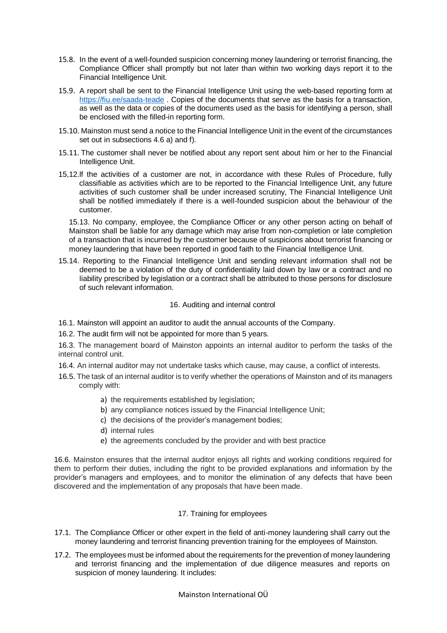- 15.8. In the event of a well-founded suspicion concerning money laundering or terrorist financing, the Compliance Officer shall promptly but not later than within two working days report it to the Financial Intelligence Unit.
- 15.9. A report shall be sent to the Financial Intelligence Unit using the web-based reporting form at <https://fiu.ee/saada-teade> . Copies of the documents that serve as the basis for a transaction, as well as the data or copies of the documents used as the basis for identifying a person, shall be enclosed with the filled-in reporting form.
- 15.10. Mainston must send a notice to the Financial Intelligence Unit in the event of the circumstances set out in subsections 4.6 a) and f).
- 15.11. The customer shall never be notified about any report sent about him or her to the Financial Intelligence Unit.
- 15,12.lf the activities of a customer are not, in accordance with these Rules of Procedure, fully classifiable as activities which are to be reported to the Financial Intelligence Unit, any future activities of such customer shall be under increased scrutiny, The Financial Intelligence Unit shall be notified immediately if there is a well-founded suspicion about the behaviour of the customer.

15.13. No company, employee, the Compliance Officer or any other person acting on behalf of Mainston shall be liable for any damage which may arise from non-completion or late completion of a transaction that is incurred by the customer because of suspicions about terrorist financing or money laundering that have been reported in good faith to the Financial Intelligence Unit.

15.14. Reporting to the Financial Intelligence Unit and sending relevant information shall not be deemed to be a violation of the duty of confidentiality laid down by law or a contract and no liability prescribed by legislation or a contract shall be attributed to those persons for disclosure of such relevant information.

#### 16. Auditing and internal control

- <span id="page-20-0"></span>16.1. Mainston will appoint an auditor to audit the annual accounts of the Company.
- 16.2. The audit firm will not be appointed for more than 5 years.

16.3. The management board of Mainston appoints an internal auditor to perform the tasks of the internal control unit.

- 16.4. An internal auditor may not undertake tasks which cause, may cause, a conflict of interests.
- 16.5. The task of an internal auditor is to verify whether the operations of Mainston and of its managers comply with:
	- a) the requirements established by legislation;
	- b) any compliance notices issued by the Financial Intelligence Unit;
	- c) the decisions of the provider's management bodies;
	- d) internal rules
	- e) the agreements concluded by the provider and with best practice

16.6. Mainston ensures that the internal auditor enjoys all rights and working conditions required for them to perform their duties, including the right to be provided explanations and information by the provider's managers and employees, and to monitor the elimination of any defects that have been discovered and the implementation of any proposals that have been made.

### 17. Training for employees

- <span id="page-20-1"></span>17.1. The Compliance Officer or other expert in the field of anti-money laundering shall carry out the money laundering and terrorist financing prevention training for the employees of Mainston.
- 17.2. The employees must be informed about the requirements for the prevention of money laundering and terrorist financing and the implementation of due diligence measures and reports on suspicion of money laundering. It includes: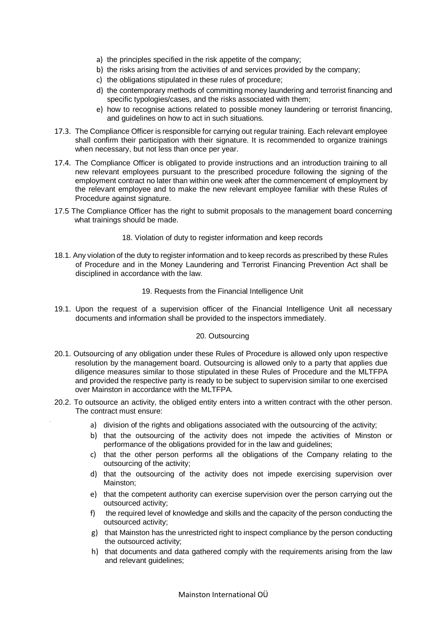- a) the principles specified in the risk appetite of the company;
- b) the risks arising from the activities of and services provided by the company;
- c) the obligations stipulated in these rules of procedure;
- d) the contemporary methods of committing money laundering and terrorist financing and specific typologies/cases, and the risks associated with them;
- e) how to recognise actions related to possible money laundering or terrorist financing, and guidelines on how to act in such situations.
- 17.3. The Compliance Officer is responsible for carrying out regular training. Each relevant employee shall confirm their participation with their signature. It is recommended to organize trainings when necessary, but not less than once per year.
- 17.4. The Compliance Officer is obligated to provide instructions and an introduction training to all new relevant employees pursuant to the prescribed procedure following the signing of the employment contract no later than within one week after the commencement of employment by the relevant employee and to make the new relevant employee familiar with these Rules of Procedure against signature.
- 17.5 The Compliance Officer has the right to submit proposals to the management board concerning what trainings should be made.

#### 18. Violation of duty to register information and keep records

<span id="page-21-0"></span>18.1. Any violation of the duty to register information and to keep records as prescribed by these Rules of Procedure and in the Money Laundering and Terrorist Financing Prevention Act shall be disciplined in accordance with the law.

#### 19. Requests from the Financial Intelligence Unit

<span id="page-21-1"></span>19.1. Upon the request of a supervision officer of the Financial Intelligence Unit all necessary documents and information shall be provided to the inspectors immediately.

#### 20. Outsourcing

- <span id="page-21-2"></span>20.1. Outsourcing of any obligation under these Rules of Procedure is allowed only upon respective resolution by the management board. Outsourcing is allowed only to a party that applies due diligence measures similar to those stipulated in these Rules of Procedure and the MLTFPA and provided the respective party is ready to be subject to supervision similar to one exercised over Mainston in accordance with the MLTFPA.
- 20.2. To outsource an activity, the obliged entity enters into a written contract with the other person. The contract must ensure:
	- a) division of the rights and obligations associated with the outsourcing of the activity;
	- b) that the outsourcing of the activity does not impede the activities of Minston or performance of the obligations provided for in the law and guidelines;
	- c) that the other person performs all the obligations of the Company relating to the outsourcing of the activity;
	- d) that the outsourcing of the activity does not impede exercising supervision over Mainston;
	- e) that the competent authority can exercise supervision over the person carrying out the outsourced activity;
	- f) the required level of knowledge and skills and the capacity of the person conducting the outsourced activity;
	- g) that Mainston has the unrestricted right to inspect compliance by the person conducting the outsourced activity;
	- h) that documents and data gathered comply with the requirements arising from the law and relevant guidelines;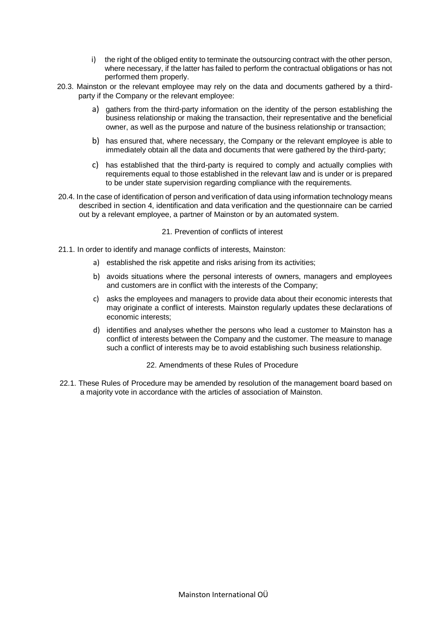- i) the right of the obliged entity to terminate the outsourcing contract with the other person, where necessary, if the latter has failed to perform the contractual obligations or has not performed them properly.
- 20.3. Mainston or the relevant employee may rely on the data and documents gathered by a thirdparty if the Company or the relevant employee:
	- a) gathers from the third-party information on the identity of the person establishing the business relationship or making the transaction, their representative and the beneficial owner, as well as the purpose and nature of the business relationship or transaction;
	- b) has ensured that, where necessary, the Company or the relevant employee is able to immediately obtain all the data and documents that were gathered by the third-party;
	- c) has established that the third-party is required to comply and actually complies with requirements equal to those established in the relevant law and is under or is prepared to be under state supervision regarding compliance with the requirements.
- 20.4. In the case of identification of person and verification of data using information technology means described in section 4, identification and data verification and the questionnaire can be carried out by a relevant employee, a partner of Mainston or by an automated system.

#### 21. Prevention of conflicts of interest

- <span id="page-22-0"></span>21.1. In order to identify and manage conflicts of interests, Mainston:
	- a) established the risk appetite and risks arising from its activities;
	- b) avoids situations where the personal interests of owners, managers and employees and customers are in conflict with the interests of the Company;
	- c) asks the employees and managers to provide data about their economic interests that may originate a conflict of interests. Mainston regularly updates these declarations of economic interests;
	- d) identifies and analyses whether the persons who lead a customer to Mainston has a conflict of interests between the Company and the customer. The measure to manage such a conflict of interests may be to avoid establishing such business relationship.
		- 22. Amendments of these Rules of Procedure
- <span id="page-22-1"></span>22.1. These Rules of Procedure may be amended by resolution of the management board based on a majority vote in accordance with the articles of association of Mainston.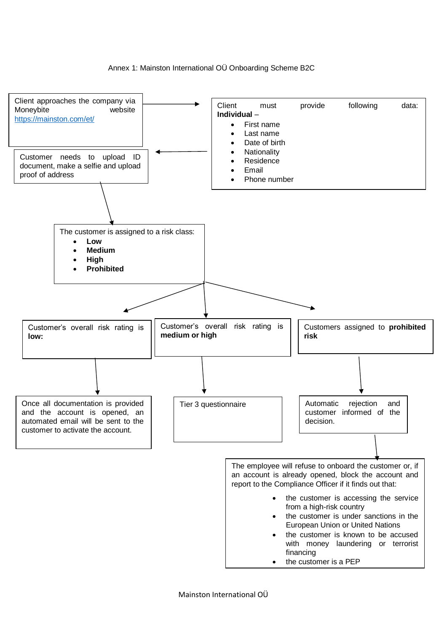#### <span id="page-23-0"></span>Annex 1: Mainston International OÜ Onboarding Scheme B2C

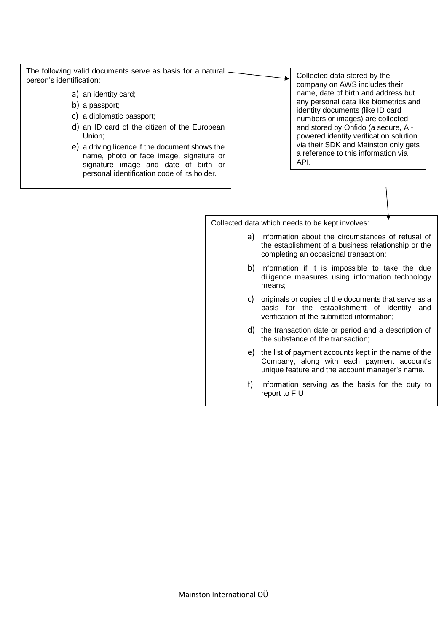The following valid documents serve as basis for a natural person's identification:

- a) an identity card;
- b) a passport;
- c) a diplomatic passport;
- d) an ID card of the citizen of the European Union;
- e) a driving licence if the document shows the name, photo or face image, signature or signature image and date of birth or personal identification code of its holder.

Collected data stored by the company on AWS includes their name, date of birth and address but any personal data like biometrics and identity documents (like ID card numbers or images) are collected and stored by Onfido (a secure, AIpowered identity verification solution via their SDK and Mainston only gets a reference to this information via API.

Collected data which needs to be kept involves:

- a) information about the circumstances of refusal of the establishment of a business relationship or the completing an occasional transaction;
- b) information if it is impossible to take the due diligence measures using information technology means;
- c) originals or copies of the documents that serve as a basis for the establishment of identity and verification of the submitted information;
- d) the transaction date or period and a description of the substance of the transaction;
- e) the list of payment accounts kept in the name of the Company, along with each payment account's unique feature and the account manager's name.
- f) information serving as the basis for the duty to report to FIU